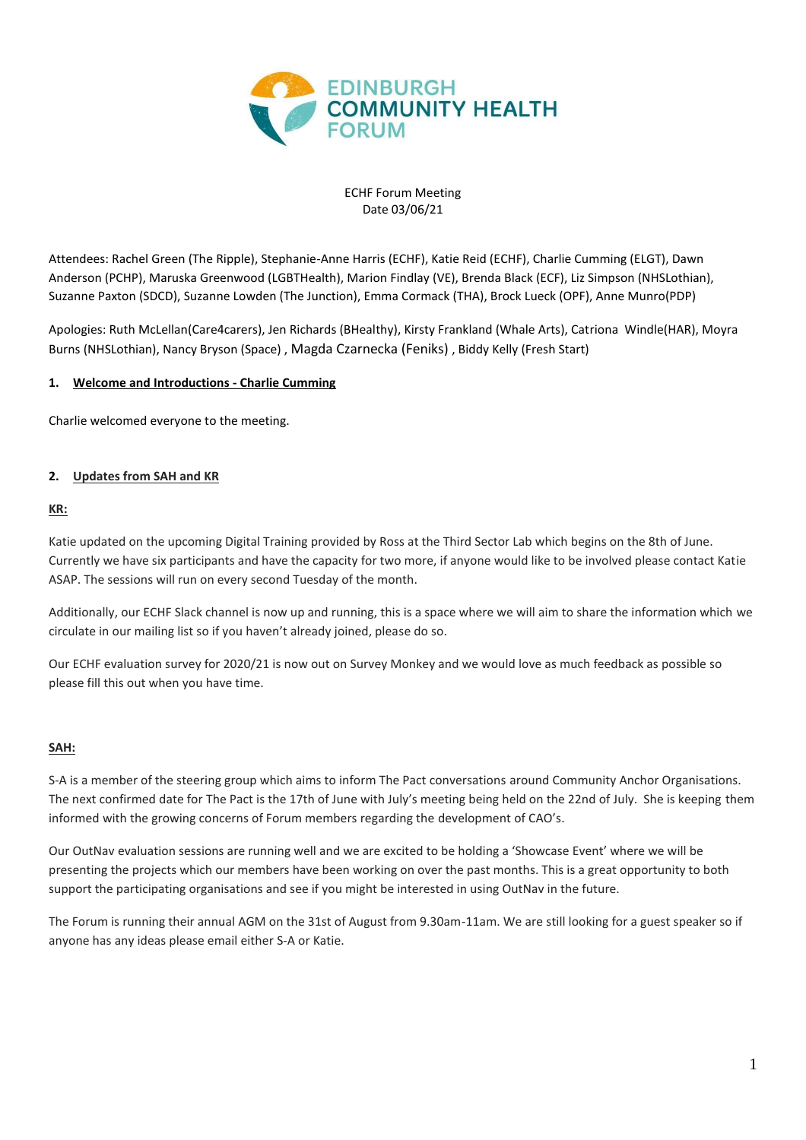

#### ECHF Forum Meeting Date 03/06/21

Attendees: Rachel Green (The Ripple), Stephanie-Anne Harris (ECHF), Katie Reid (ECHF), Charlie Cumming (ELGT), Dawn Anderson (PCHP), Maruska Greenwood (LGBTHealth), Marion Findlay (VE), Brenda Black (ECF), Liz Simpson (NHSLothian), Suzanne Paxton (SDCD), Suzanne Lowden (The Junction), Emma Cormack (THA), Brock Lueck (OPF), Anne Munro(PDP)

Apologies: Ruth McLellan(Care4carers), Jen Richards (BHealthy), Kirsty Frankland (Whale Arts), Catriona Windle(HAR), Moyra Burns (NHSLothian), Nancy Bryson (Space) , Magda Czarnecka (Feniks) , Biddy Kelly (Fresh Start)

#### **1. Welcome and Introductions - Charlie Cumming**

Charlie welcomed everyone to the meeting.

#### **2. Updates from SAH and KR**

#### **KR:**

Katie updated on the upcoming Digital Training provided by Ross at the Third Sector Lab which begins on the 8th of June. Currently we have six participants and have the capacity for two more, if anyone would like to be involved please contact Katie ASAP. The sessions will run on every second Tuesday of the month.

Additionally, our ECHF Slack channel is now up and running, this is a space where we will aim to share the information which we circulate in our mailing list so if you haven't already joined, please do so.

Our ECHF evaluation survey for 2020/21 is now out on Survey Monkey and we would love as much feedback as possible so please fill this out when you have time.

#### **SAH:**

S-A is a member of the steering group which aims to inform The Pact conversations around Community Anchor Organisations. The next confirmed date for The Pact is the 17th of June with July's meeting being held on the 22nd of July. She is keeping them informed with the growing concerns of Forum members regarding the development of CAO's.

Our OutNav evaluation sessions are running well and we are excited to be holding a 'Showcase Event' where we will be presenting the projects which our members have been working on over the past months. This is a great opportunity to both support the participating organisations and see if you might be interested in using OutNav in the future.

The Forum is running their annual AGM on the 31st of August from 9.30am-11am. We are still looking for a guest speaker so if anyone has any ideas please email either S-A or Katie.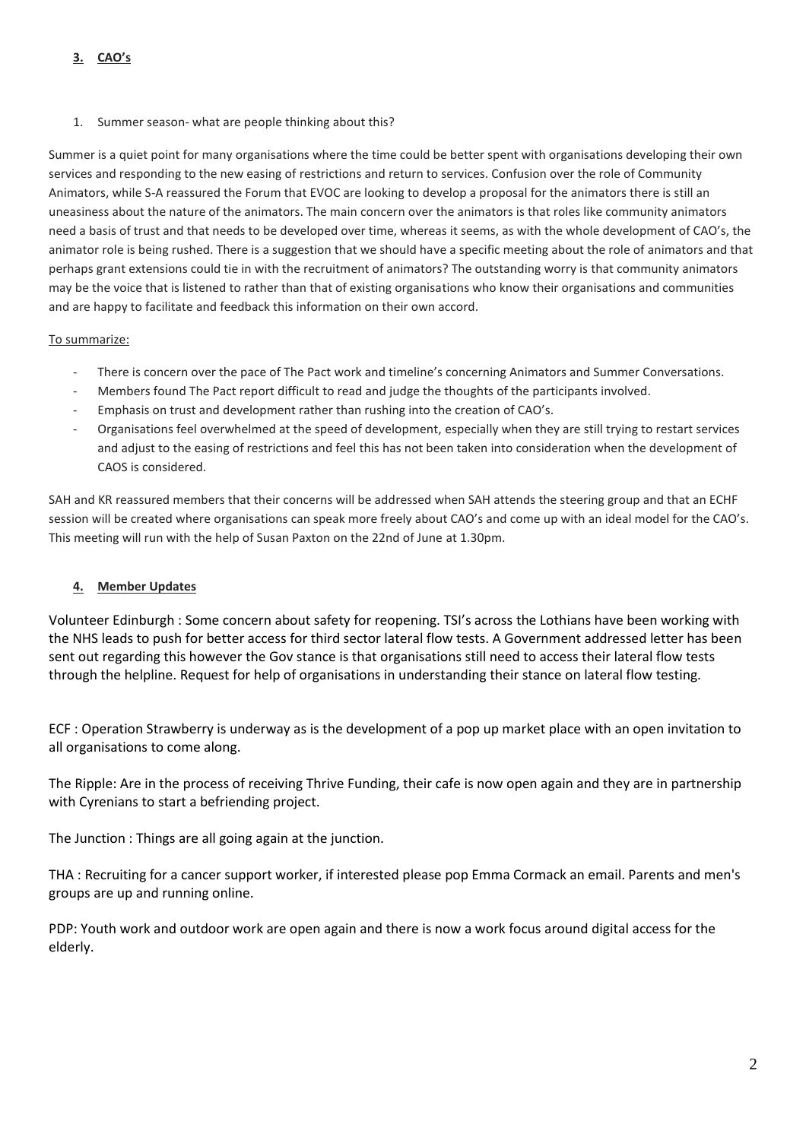1. Summer season- what are people thinking about this?

Summer is a quiet point for many organisations where the time could be better spent with organisations developing their own services and responding to the new easing of restrictions and return to services. Confusion over the role of Community Animators, while S-A reassured the Forum that EVOC are looking to develop a proposal for the animators there is still an uneasiness about the nature of the animators. The main concern over the animators is that roles like community animators need a basis of trust and that needs to be developed over time, whereas it seems, as with the whole development of CAO's, the animator role is being rushed. There is a suggestion that we should have a specific meeting about the role of animators and that perhaps grant extensions could tie in with the recruitment of animators? The outstanding worry is that community animators may be the voice that is listened to rather than that of existing organisations who know their organisations and communities and are happy to facilitate and feedback this information on their own accord.

# To summarize:

- There is concern over the pace of The Pact work and timeline's concerning Animators and Summer Conversations.
- Members found The Pact report difficult to read and judge the thoughts of the participants involved.
- Emphasis on trust and development rather than rushing into the creation of CAO's.
- Organisations feel overwhelmed at the speed of development, especially when they are still trying to restart services and adjust to the easing of restrictions and feel this has not been taken into consideration when the development of CAOS is considered.

SAH and KR reassured members that their concerns will be addressed when SAH attends the steering group and that an ECHF session will be created where organisations can speak more freely about CAO's and come up with an ideal model for the CAO's. This meeting will run with the help of Susan Paxton on the 22nd of June at 1.30pm.

# **4. Member Updates**

Volunteer Edinburgh : Some concern about safety for reopening. TSI's across the Lothians have been working with the NHS leads to push for better access for third sector lateral flow tests. A Government addressed letter has been sent out regarding this however the Gov stance is that organisations still need to access their lateral flow tests through the helpline. Request for help of organisations in understanding their stance on lateral flow testing.

ECF : Operation Strawberry is underway as is the development of a pop up market place with an open invitation to all organisations to come along.

The Ripple: Are in the process of receiving Thrive Funding, their cafe is now open again and they are in partnership with Cyrenians to start a befriending project.

The Junction : Things are all going again at the junction.

THA : Recruiting for a cancer support worker, if interested please pop Emma Cormack an email. Parents and men's groups are up and running online.

PDP: Youth work and outdoor work are open again and there is now a work focus around digital access for the elderly.